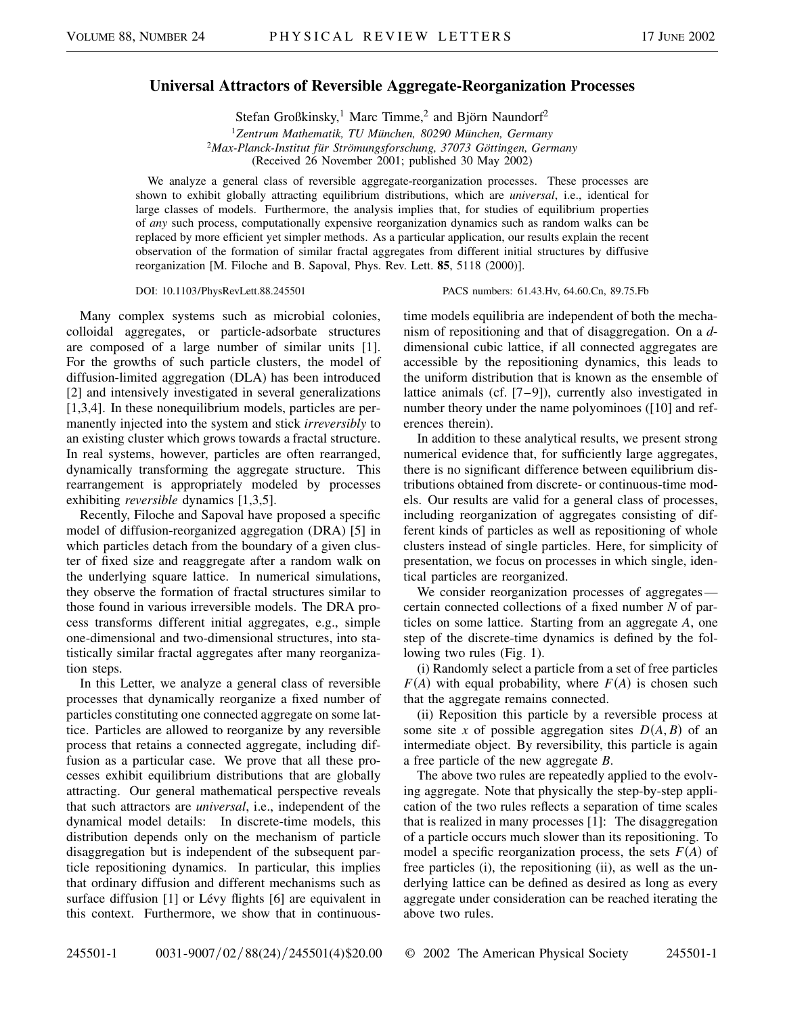## **Universal Attractors of Reversible Aggregate-Reorganization Processes**

Stefan Großkinsky,<sup>1</sup> Marc Timme,<sup>2</sup> and Björn Naundorf<sup>2</sup>

<sup>1</sup>*Zentrum Mathematik, TU München, 80290 München, Germany* <sup>2</sup>*Max-Planck-Institut für Strömungsforschung, 37073 Göttingen, Germany* (Received 26 November 2001; published 30 May 2002)

We analyze a general class of reversible aggregate-reorganization processes. These processes are shown to exhibit globally attracting equilibrium distributions, which are *universal*, i.e., identical for large classes of models. Furthermore, the analysis implies that, for studies of equilibrium properties of *any* such process, computationally expensive reorganization dynamics such as random walks can be replaced by more efficient yet simpler methods. As a particular application, our results explain the recent observation of the formation of similar fractal aggregates from different initial structures by diffusive reorganization [M. Filoche and B. Sapoval, Phys. Rev. Lett. **85**, 5118 (2000)].

## DOI: 10.1103/PhysRevLett.88.245501 PACS numbers: 61.43.Hv, 64.60.Cn, 89.75.Fb

Many complex systems such as microbial colonies, colloidal aggregates, or particle-adsorbate structures are composed of a large number of similar units [1]. For the growths of such particle clusters, the model of diffusion-limited aggregation (DLA) has been introduced [2] and intensively investigated in several generalizations [1,3,4]. In these nonequilibrium models, particles are permanently injected into the system and stick *irreversibly* to an existing cluster which grows towards a fractal structure. In real systems, however, particles are often rearranged, dynamically transforming the aggregate structure. This rearrangement is appropriately modeled by processes exhibiting *reversible* dynamics [1,3,5].

Recently, Filoche and Sapoval have proposed a specific model of diffusion-reorganized aggregation (DRA) [5] in which particles detach from the boundary of a given cluster of fixed size and reaggregate after a random walk on the underlying square lattice. In numerical simulations, they observe the formation of fractal structures similar to those found in various irreversible models. The DRA process transforms different initial aggregates, e.g., simple one-dimensional and two-dimensional structures, into statistically similar fractal aggregates after many reorganization steps.

In this Letter, we analyze a general class of reversible processes that dynamically reorganize a fixed number of particles constituting one connected aggregate on some lattice. Particles are allowed to reorganize by any reversible process that retains a connected aggregate, including diffusion as a particular case. We prove that all these processes exhibit equilibrium distributions that are globally attracting. Our general mathematical perspective reveals that such attractors are *universal*, i.e., independent of the dynamical model details: In discrete-time models, this distribution depends only on the mechanism of particle disaggregation but is independent of the subsequent particle repositioning dynamics. In particular, this implies that ordinary diffusion and different mechanisms such as surface diffusion [1] or Lévy flights [6] are equivalent in this context. Furthermore, we show that in continuoustime models equilibria are independent of both the mechanism of repositioning and that of disaggregation. On a *d*dimensional cubic lattice, if all connected aggregates are accessible by the repositioning dynamics, this leads to the uniform distribution that is known as the ensemble of lattice animals (cf. [7–9]), currently also investigated in number theory under the name polyominoes ([10] and references therein).

In addition to these analytical results, we present strong numerical evidence that, for sufficiently large aggregates, there is no significant difference between equilibrium distributions obtained from discrete- or continuous-time models. Our results are valid for a general class of processes, including reorganization of aggregates consisting of different kinds of particles as well as repositioning of whole clusters instead of single particles. Here, for simplicity of presentation, we focus on processes in which single, identical particles are reorganized.

We consider reorganization processes of aggregates certain connected collections of a fixed number *N* of particles on some lattice. Starting from an aggregate *A*, one step of the discrete-time dynamics is defined by the following two rules (Fig. 1).

(i) Randomly select a particle from a set of free particles  $F(A)$  with equal probability, where  $F(A)$  is chosen such that the aggregate remains connected.

(ii) Reposition this particle by a reversible process at some site *x* of possible aggregation sites  $D(A, B)$  of an intermediate object. By reversibility, this particle is again a free particle of the new aggregate *B*.

The above two rules are repeatedly applied to the evolving aggregate. Note that physically the step-by-step application of the two rules reflects a separation of time scales that is realized in many processes [1]: The disaggregation of a particle occurs much slower than its repositioning. To model a specific reorganization process, the sets  $F(A)$  of free particles (i), the repositioning (ii), as well as the underlying lattice can be defined as desired as long as every aggregate under consideration can be reached iterating the above two rules.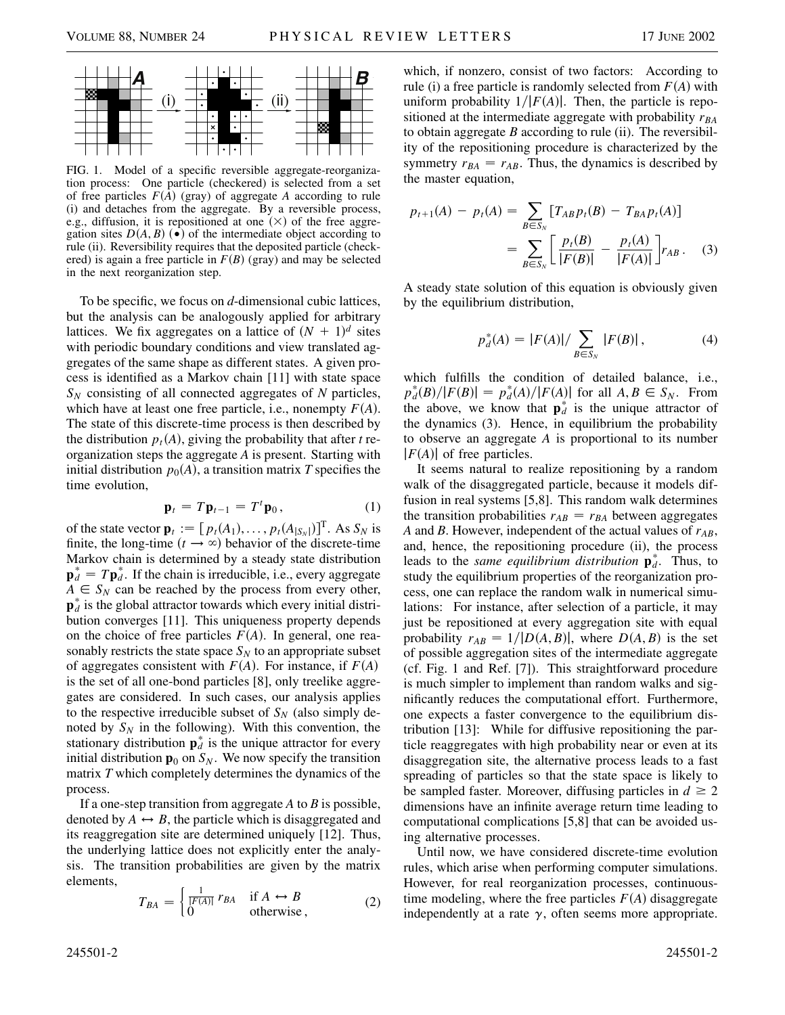

FIG. 1. Model of a specific reversible aggregate-reorganization process: One particle (checkered) is selected from a set of free particles  $F(A)$  (gray) of aggregate A according to rule (i) and detaches from the aggregate. By a reversible process, e.g., diffusion, it is repositioned at one  $(\times)$  of the free aggregation sites  $D(A, B)$  ( $\bullet$ ) of the intermediate object according to rule (ii). Reversibility requires that the deposited particle (checkered) is again a free particle in  $F(B)$  (gray) and may be selected in the next reorganization step.

To be specific, we focus on *d*-dimensional cubic lattices, but the analysis can be analogously applied for arbitrary lattices. We fix aggregates on a lattice of  $(N + 1)<sup>d</sup>$  sites with periodic boundary conditions and view translated aggregates of the same shape as different states. A given process is identified as a Markov chain [11] with state space *SN* consisting of all connected aggregates of *N* particles, which have at least one free particle, i.e., nonempty  $F(A)$ . The state of this discrete-time process is then described by the distribution  $p_t(A)$ , giving the probability that after *t* reorganization steps the aggregate *A* is present. Starting with initial distribution  $p_0(A)$ , a transition matrix T specifies the time evolution,

$$
\mathbf{p}_t = T\mathbf{p}_{t-1} = T^t \mathbf{p}_0, \qquad (1)
$$

of the state vector  $\mathbf{p}_t := [p_t(A_1), \dots, p_t(A_{|S_N|})]^T$ . As  $S_N$  is finite, the long-time  $(t \rightarrow \infty)$  behavior of the discrete-time Markov chain is determined by a steady state distribution  $\mathbf{p}_d^* = T \mathbf{p}_d^*$ . If the chain is irreducible, i.e., every aggregate  $A \in S_N$  can be reached by the process from every other,  $\mathbf{p}_d^*$  is the global attractor towards which every initial distribution converges [11]. This uniqueness property depends on the choice of free particles  $F(A)$ . In general, one reasonably restricts the state space  $S_N$  to an appropriate subset of aggregates consistent with  $F(A)$ . For instance, if  $F(A)$ is the set of all one-bond particles [8], only treelike aggregates are considered. In such cases, our analysis applies to the respective irreducible subset of  $S_N$  (also simply denoted by  $S_N$  in the following). With this convention, the stationary distribution  $\mathbf{p}_d^*$  is the unique attractor for every initial distribution  $\mathbf{p}_0$  on  $S_N$ . We now specify the transition matrix *T* which completely determines the dynamics of the process.

If a one-step transition from aggregate *A* to *B* is possible, denoted by  $A \leftrightarrow B$ , the particle which is disaggregated and its reaggregation site are determined uniquely [12]. Thus, the underlying lattice does not explicitly enter the analysis. The transition probabilities are given by the matrix elements,  $\sqrt{1}$ 

$$
T_{BA} = \begin{cases} \frac{1}{|F(A)|} r_{BA} & \text{if } A \leftrightarrow B \\ 0 & \text{otherwise} \end{cases}
$$
 (2)

which, if nonzero, consist of two factors: According to rule (i) a free particle is randomly selected from  $F(A)$  with uniform probability  $1/|F(A)|$ . Then, the particle is repositioned at the intermediate aggregate with probability  $r_{BA}$ to obtain aggregate *B* according to rule (ii). The reversibility of the repositioning procedure is characterized by the symmetry  $r_{BA} = r_{AB}$ . Thus, the dynamics is described by the master equation,

$$
p_{t+1}(A) - p_t(A) = \sum_{B \in S_N} [T_{AB} p_t(B) - T_{BA} p_t(A)]
$$
  
= 
$$
\sum_{B \in S_N} \left[ \frac{p_t(B)}{|F(B)|} - \frac{p_t(A)}{|F(A)|} \right] r_{AB}.
$$
 (3)

A steady state solution of this equation is obviously given by the equilibrium distribution,

$$
p_d^*(A) = |F(A)| / \sum_{B \in S_N} |F(B)|, \tag{4}
$$

which fulfills the condition of detailed balance, i.e.,  $p_d^*(B) / |F(B)| = p_d^*(A) / |F(A)|$  for all  $A, B \in S_N$ . From the above, we know that  $\mathbf{p}_d^*$  is the unique attractor of the dynamics (3). Hence, in equilibrium the probability to observe an aggregate *A* is proportional to its number  $|F(A)|$  of free particles.

It seems natural to realize repositioning by a random walk of the disaggregated particle, because it models diffusion in real systems [5,8]. This random walk determines the transition probabilities  $r_{AB} = r_{BA}$  between aggregates *A* and *B*. However, independent of the actual values of  $r_{AB}$ , and, hence, the repositioning procedure (ii), the process leads to the *same equilibrium distribution*  $\mathbf{p}_{d}^{*}$ . Thus, to study the equilibrium properties of the reorganization process, one can replace the random walk in numerical simulations: For instance, after selection of a particle, it may just be repositioned at every aggregation site with equal probability  $r_{AB} = 1/|D(A, B)|$ , where  $D(A, B)$  is the set of possible aggregation sites of the intermediate aggregate (cf. Fig. 1 and Ref. [7]). This straightforward procedure is much simpler to implement than random walks and significantly reduces the computational effort. Furthermore, one expects a faster convergence to the equilibrium distribution [13]: While for diffusive repositioning the particle reaggregates with high probability near or even at its disaggregation site, the alternative process leads to a fast spreading of particles so that the state space is likely to be sampled faster. Moreover, diffusing particles in  $d \geq 2$ dimensions have an infinite average return time leading to computational complications [5,8] that can be avoided using alternative processes.

Until now, we have considered discrete-time evolution rules, which arise when performing computer simulations. However, for real reorganization processes, continuoustime modeling, where the free particles  $F(A)$  disaggregate independently at a rate  $\gamma$ , often seems more appropriate.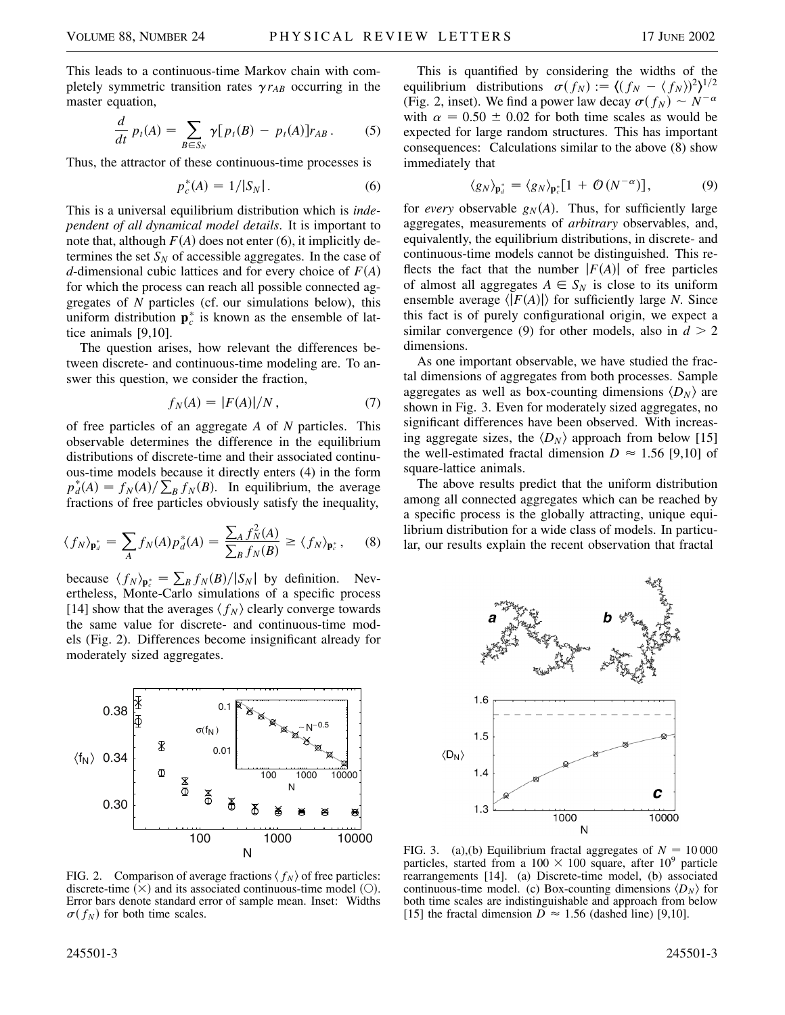This leads to a continuous-time Markov chain with completely symmetric transition rates  $\gamma r_{AB}$  occurring in the master equation,

$$
\frac{d}{dt} p_t(A) = \sum_{B \in S_N} \gamma [p_t(B) - p_t(A)] r_{AB} \,. \tag{5}
$$

Thus, the attractor of these continuous-time processes is

$$
p_c^*(A) = 1/|S_N|.
$$
 (6)

This is a universal equilibrium distribution which is *independent of all dynamical model details*. It is important to note that, although  $F(A)$  does not enter (6), it implicitly determines the set  $S_N$  of accessible aggregates. In the case of *d*-dimensional cubic lattices and for every choice of *FA* for which the process can reach all possible connected aggregates of *N* particles (cf. our simulations below), this uniform distribution  $\mathbf{p}_c^*$  is known as the ensemble of lattice animals [9,10].

The question arises, how relevant the differences between discrete- and continuous-time modeling are. To answer this question, we consider the fraction,

$$
f_N(A) = |F(A)|/N, \tag{7}
$$

of free particles of an aggregate *A* of *N* particles. This observable determines the difference in the equilibrium distributions of discrete-time and their associated continuous-time models because it directly enters (4) in the form  $p_d^*(A) = f_N(A) / \sum_B f_N(B)$ . In equilibrium, the average fractions of free particles obviously satisfy the inequality,

$$
\langle f_N \rangle_{\mathbf{p}_d^*} = \sum_A f_N(A) p_d^*(A) = \frac{\sum_A f_N^2(A)}{\sum_B f_N(B)} \ge \langle f_N \rangle_{\mathbf{p}_c^*},\tag{8}
$$

because  $\langle f_N \rangle_{\mathbf{p}_c^*} = \sum_B f_N(B)/|S_N|$  by definition. Nevertheless, Monte-Carlo simulations of a specific process [14] show that the averages  $\langle f_N \rangle$  clearly converge towards the same value for discrete- and continuous-time models (Fig. 2). Differences become insignificant already for moderately sized aggregates.



FIG. 2. Comparison of average fractions  $\langle f_N \rangle$  of free particles: discrete-time  $(\times)$  and its associated continuous-time model (O). Error bars denote standard error of sample mean. Inset: Widths  $\sigma(f_N)$  for both time scales.

This is quantified by considering the widths of the equilibrium distributions  $\sigma(f_N) := \langle (f_N - \langle f_N \rangle)^2 \rangle^{1/2}$ (Fig. 2, inset). We find a power law decay  $\sigma(f_N) \sim N^{-\alpha}$ with  $\alpha$  = 0.50  $\pm$  0.02 for both time scales as would be expected for large random structures. This has important consequences: Calculations similar to the above (8) show immediately that

$$
\langle g_N \rangle_{\mathbf{p}_d^*} = \langle g_N \rangle_{\mathbf{p}_c^*} [1 + \mathcal{O}(N^{-\alpha})], \tag{9}
$$

for *every* observable  $g_N(A)$ . Thus, for sufficiently large aggregates, measurements of *arbitrary* observables, and, equivalently, the equilibrium distributions, in discrete- and continuous-time models cannot be distinguished. This reflects the fact that the number  $|F(A)|$  of free particles of almost all aggregates  $A \in S_N$  is close to its uniform ensemble average  $\langle |F(A)| \rangle$  for sufficiently large *N*. Since this fact is of purely configurational origin, we expect a similar convergence (9) for other models, also in  $d > 2$ dimensions.

As one important observable, we have studied the fractal dimensions of aggregates from both processes. Sample aggregates as well as box-counting dimensions  $\langle D_N \rangle$  are shown in Fig. 3. Even for moderately sized aggregates, no significant differences have been observed. With increasing aggregate sizes, the  $\langle D_N \rangle$  approach from below [15] the well-estimated fractal dimension  $D \approx 1.56$  [9,10] of square-lattice animals.

The above results predict that the uniform distribution among all connected aggregates which can be reached by a specific process is the globally attracting, unique equilibrium distribution for a wide class of models. In particular, our results explain the recent observation that fractal



FIG. 3. (a),(b) Equilibrium fractal aggregates of  $N = 10000$ particles, started from a  $100 \times 100$  square, after  $10^9$  particle rearrangements [14]. (a) Discrete-time model, (b) associated continuous-time model. (c) Box-counting dimensions  $\langle D_N \rangle$  for both time scales are indistinguishable and approach from below [15] the fractal dimension  $D \approx 1.56$  (dashed line) [9,10].